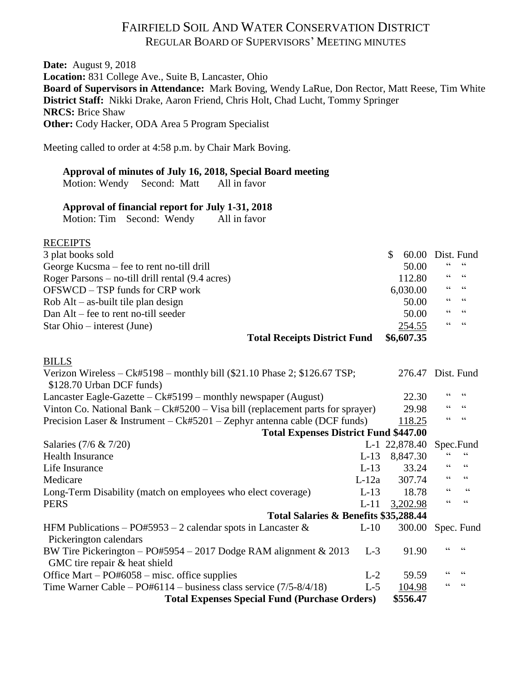# FAIRFIELD SOIL AND WATER CONSERVATION DISTRICT REGULAR BOARD OF SUPERVISORS' MEETING MINUTES

**Date:** August 9, 2018 **Location:** 831 College Ave., Suite B, Lancaster, Ohio **Board of Supervisors in Attendance:** Mark Boving, Wendy LaRue, Don Rector, Matt Reese, Tim White **District Staff:** Nikki Drake, Aaron Friend, Chris Holt, Chad Lucht, Tommy Springer **NRCS:** Brice Shaw **Other:** Cody Hacker, ODA Area 5 Program Specialist

Meeting called to order at 4:58 p.m. by Chair Mark Boving.

## **Approval of minutes of July 16, 2018, Special Board meeting**

Motion: Wendy Second: Matt All in favor

### **Approval of financial report for July 1-31, 2018**

Motion: Tim Second: Wendy All in favor

## RECEIPTS

| 3 plat books sold                                                                                       | \$<br>60.00 |                | Dist. Fund |
|---------------------------------------------------------------------------------------------------------|-------------|----------------|------------|
| George Kucsma – fee to rent no-till drill                                                               | 50.00       | 66             | $-66$      |
| Roger Parsons $-$ no-till drill rental $(9.4 \text{ acres})$                                            | 112.80      | 66             | 66         |
| OFSWCD – TSP funds for CRP work                                                                         | 6,030.00    | 66             | $-66$      |
| $Rob$ Alt – as-built tile plan design                                                                   | 50.00       | 66             | $-66$      |
| Dan Alt – fee to rent no-till seeder                                                                    | 50.00       | $\zeta\,\zeta$ | 66         |
| $Star Ohio - interest (June)$                                                                           | 254.55      | 66             | 66         |
| <b>Total Receipts District Fund</b>                                                                     | \$6,607.35  |                |            |
| <b>BILLS</b>                                                                                            |             |                |            |
| Verizon Wireless $-Ck#5198$ – monthly bill (\$21.10 Phase 2; \$126.67 TSP;<br>\$128.70 Urban DCF funds) | 276.47      |                | Dist. Fund |
| Lancaster Eagle-Gazette $-Ck#5199$ – monthly newspaper (August)                                         | 22.30       | 66             | $-66$      |
| Vinton Co. National Bank $-Ck#5200 - V$ is a bill (replacement parts for sprayer)                       | 29.98       | 66             | 66         |
| Precision Laser & Instrument – $Ck#5201$ – Zephyr antenna cable (DCF funds)                             | 118.25      |                |            |
| <b>Total Expenses District Fund \$447.00</b>                                                            |             |                |            |

| \$556.47<br><b>Total Expenses Special Fund (Purchase Orders)</b>      |         |                         |            |       |
|-----------------------------------------------------------------------|---------|-------------------------|------------|-------|
| Time Warner Cable – $PO#6114$ – business class service $(7/5-8/4/18)$ | $L-5$   | 104.98                  | 66         | 66    |
| Office Mart – $PO#6058$ – misc. office supplies                       | $L-2$   | 59.59                   |            | 66    |
| GMC tire repair & heat shield                                         |         |                         |            |       |
| BW Tire Pickerington – PO#5954 – 2017 Dodge RAM alignment $& 2013$    | $L-3$   | 91.90                   |            |       |
| Pickerington calendars                                                |         |                         |            |       |
| HFM Publications – PO#5953 – 2 calendar spots in Lancaster $\&$       | $L-10$  | 300.00                  | Spec. Fund |       |
| Total Salaries & Benefits \$35,288.44                                 |         |                         |            |       |
| <b>PERS</b>                                                           | $L-11$  | 3,202.98                | 66         | 66    |
| Long-Term Disability (match on employees who elect coverage)          | $L-13$  | 18.78                   | 66         | 66    |
| Medicare                                                              | $L-12a$ | 307.74                  | 66         | 66    |
| Life Insurance                                                        | $L-13$  | 33.24                   | 66         | 66    |
| <b>Health Insurance</b>                                               | $L-13$  | 8,847.30                |            | $-66$ |
| Salaries $(7/6 \& 7/20)$                                              |         | L-1 22,878.40 Spec.Fund |            |       |
|                                                                       |         |                         |            |       |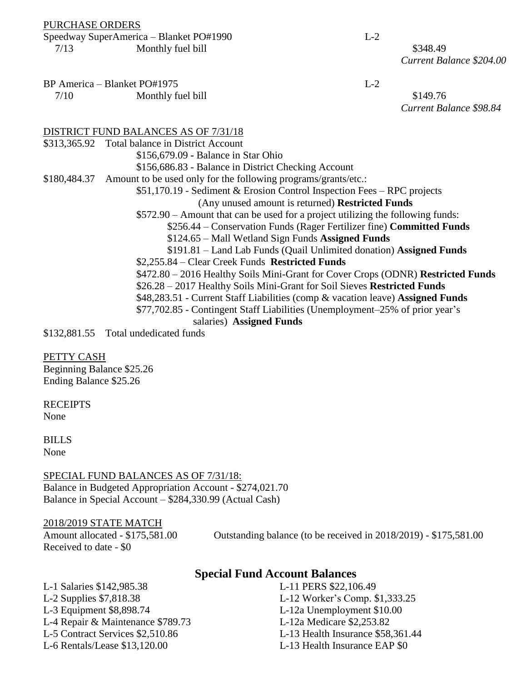#### PURCHASE ORDERS

#### Speedway SuperAmerica – Blanket PO#1990 L-2 7/13 Monthly fuel bill \$348.49

*Current Balance \$204.00*

BP America – Blanket PO#1975 L-2

7/10 Monthly fuel bill \$149.76 *Current Balance \$98.84*

#### DISTRICT FUND BALANCES AS OF 7/31/18

\$313,365.92 Total balance in District Account \$156,679.09 **-** Balance in Star Ohio \$156,686.83 - Balance in District Checking Account \$180,484.37 Amount to be used only for the following programs/grants/etc.: \$51,170.19 - Sediment & Erosion Control Inspection Fees – RPC projects (Any unused amount is returned) **Restricted Funds** \$572.90 – Amount that can be used for a project utilizing the following funds: \$256.44 – Conservation Funds (Rager Fertilizer fine) **Committed Funds** \$124.65 – Mall Wetland Sign Funds **Assigned Funds** \$191.81 – Land Lab Funds (Quail Unlimited donation) **Assigned Funds** \$2,255.84 – Clear Creek Funds **Restricted Funds** \$472.80 – 2016 Healthy Soils Mini-Grant for Cover Crops (ODNR) **Restricted Funds** \$26.28 – 2017 Healthy Soils Mini-Grant for Soil Sieves **Restricted Funds** \$48,283.51 - Current Staff Liabilities (comp & vacation leave) **Assigned Funds** \$77,702.85 - Contingent Staff Liabilities (Unemployment–25% of prior year's salaries) **Assigned Funds** \$132,881.55 Total undedicated funds

PETTY CASH

Beginning Balance \$25.26 Ending Balance \$25.26

**RECEIPTS** None

BILLS None

SPECIAL FUND BALANCES AS OF 7/31/18: Balance in Budgeted Appropriation Account - \$274,021.70 Balance in Special Account – \$284,330.99 (Actual Cash)

#### 2018/2019 STATE MATCH

Received to date - \$0

Amount allocated - \$175,581.00 Outstanding balance (to be received in 2018/2019) - \$175,581.00

## **Special Fund Account Balances**

L-1 Salaries \$142,985.38 L-11 PERS \$22,106.49 L-2 Supplies \$7,818.38 L-12 Worker's Comp. \$1,333.25 L-3 Equipment \$8,898.74 L-12a Unemployment \$10.00 L-4 Repair & Maintenance \$789.73 L-12a Medicare \$2,253.82 L-6 Rentals/Lease \$13,120.00 L-13 Health Insurance EAP \$0

L-5 Contract Services \$2,510.86 L-13 Health Insurance \$58,361.44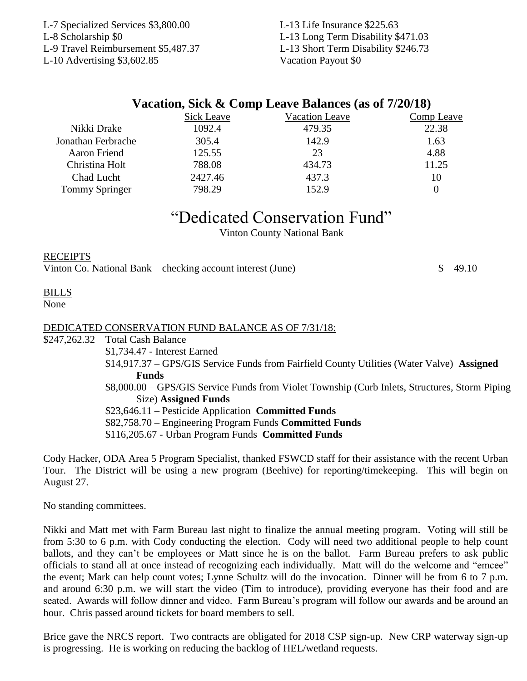L-7 Specialized Services \$3,800.00 L-13 Life Insurance \$225.63 L-8 Scholarship \$0 L-13 Long Term Disability \$471.03 L-9 Travel Reimbursement \$5,487.37 L-13 Short Term Disability \$246.73 L-10 Advertising \$3,602.85 Vacation Payout \$0

| Comp Leave |
|------------|
| 22.38      |
| 1.63       |
| 4.88       |
| 11.25      |
| 10         |
| 0          |
|            |

"Dedicated Conservation Fund"

Vinton County National Bank

### **RECEIPTS**

Vinton Co. National Bank – checking account interest (June)  $\qquad$  \$ 49.10

#### BILLS None

## DEDICATED CONSERVATION FUND BALANCE AS OF 7/31/18:

- \$247,262.32 Total Cash Balance
	- \$1,734.47 Interest Earned
	- \$14,917.37 GPS/GIS Service Funds from Fairfield County Utilities (Water Valve) **Assigned Funds**
	- \$8,000.00 GPS/GIS Service Funds from Violet Township (Curb Inlets, Structures, Storm Piping Size) **Assigned Funds**

\$23,646.11 – Pesticide Application **Committed Funds**

\$82,758.70 – Engineering Program Funds **Committed Funds**

\$116,205.67 - Urban Program Funds **Committed Funds**

Cody Hacker, ODA Area 5 Program Specialist, thanked FSWCD staff for their assistance with the recent Urban Tour. The District will be using a new program (Beehive) for reporting/timekeeping. This will begin on August 27.

No standing committees.

Nikki and Matt met with Farm Bureau last night to finalize the annual meeting program. Voting will still be from 5:30 to 6 p.m. with Cody conducting the election. Cody will need two additional people to help count ballots, and they can't be employees or Matt since he is on the ballot. Farm Bureau prefers to ask public officials to stand all at once instead of recognizing each individually. Matt will do the welcome and "emcee" the event; Mark can help count votes; Lynne Schultz will do the invocation. Dinner will be from 6 to 7 p.m. and around 6:30 p.m. we will start the video (Tim to introduce), providing everyone has their food and are seated. Awards will follow dinner and video. Farm Bureau's program will follow our awards and be around an hour. Chris passed around tickets for board members to sell.

Brice gave the NRCS report. Two contracts are obligated for 2018 CSP sign-up. New CRP waterway sign-up is progressing. He is working on reducing the backlog of HEL/wetland requests.